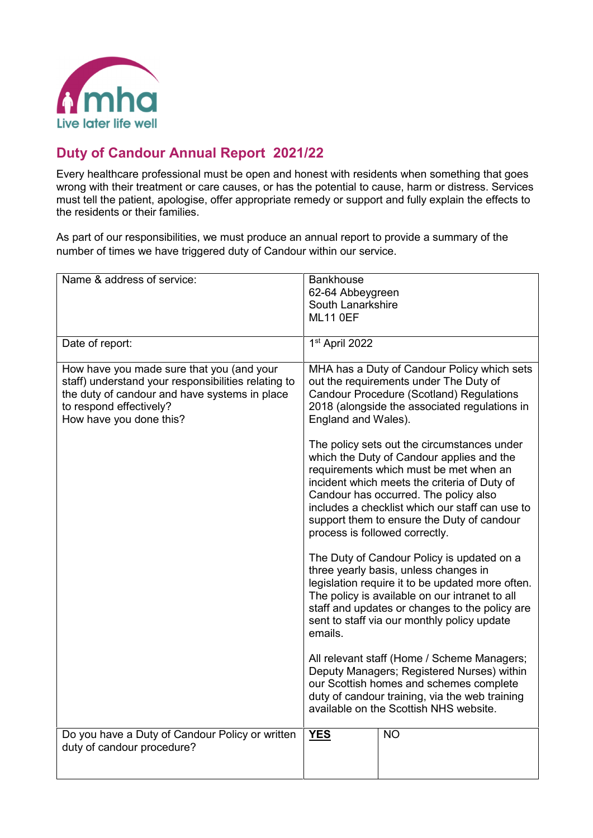

## **Duty of Candour Annual Report 2021/22**

Every healthcare professional must be open and honest with residents when something that goes wrong with their treatment or care causes, or has the potential to cause, harm or distress. Services must tell the patient, apologise, offer appropriate remedy or support and fully explain the effects to the residents or their families.

As part of our responsibilities, we must produce an annual report to provide a summary of the number of times we have triggered duty of Candour within our service.

| Name & address of service:                                                                                                                                                                              | <b>Bankhouse</b><br>62-64 Abbeygreen |                                                                                                                                                                                                                                                                                                                                                                                                                                                                                                                                                                                                                                                                                                                                                                                                                                                                                                                                                                                                                                                                                               |
|---------------------------------------------------------------------------------------------------------------------------------------------------------------------------------------------------------|--------------------------------------|-----------------------------------------------------------------------------------------------------------------------------------------------------------------------------------------------------------------------------------------------------------------------------------------------------------------------------------------------------------------------------------------------------------------------------------------------------------------------------------------------------------------------------------------------------------------------------------------------------------------------------------------------------------------------------------------------------------------------------------------------------------------------------------------------------------------------------------------------------------------------------------------------------------------------------------------------------------------------------------------------------------------------------------------------------------------------------------------------|
|                                                                                                                                                                                                         | South Lanarkshire                    |                                                                                                                                                                                                                                                                                                                                                                                                                                                                                                                                                                                                                                                                                                                                                                                                                                                                                                                                                                                                                                                                                               |
|                                                                                                                                                                                                         | <b>ML11 0EF</b>                      |                                                                                                                                                                                                                                                                                                                                                                                                                                                                                                                                                                                                                                                                                                                                                                                                                                                                                                                                                                                                                                                                                               |
|                                                                                                                                                                                                         |                                      |                                                                                                                                                                                                                                                                                                                                                                                                                                                                                                                                                                                                                                                                                                                                                                                                                                                                                                                                                                                                                                                                                               |
| Date of report:                                                                                                                                                                                         | 1st April 2022                       |                                                                                                                                                                                                                                                                                                                                                                                                                                                                                                                                                                                                                                                                                                                                                                                                                                                                                                                                                                                                                                                                                               |
| How have you made sure that you (and your<br>staff) understand your responsibilities relating to<br>the duty of candour and have systems in place<br>to respond effectively?<br>How have you done this? | England and Wales).<br>emails.       | MHA has a Duty of Candour Policy which sets<br>out the requirements under The Duty of<br><b>Candour Procedure (Scotland) Regulations</b><br>2018 (alongside the associated regulations in<br>The policy sets out the circumstances under<br>which the Duty of Candour applies and the<br>requirements which must be met when an<br>incident which meets the criteria of Duty of<br>Candour has occurred. The policy also<br>includes a checklist which our staff can use to<br>support them to ensure the Duty of candour<br>process is followed correctly.<br>The Duty of Candour Policy is updated on a<br>three yearly basis, unless changes in<br>legislation require it to be updated more often.<br>The policy is available on our intranet to all<br>staff and updates or changes to the policy are<br>sent to staff via our monthly policy update<br>All relevant staff (Home / Scheme Managers;<br>Deputy Managers; Registered Nurses) within<br>our Scottish homes and schemes complete<br>duty of candour training, via the web training<br>available on the Scottish NHS website. |
|                                                                                                                                                                                                         |                                      |                                                                                                                                                                                                                                                                                                                                                                                                                                                                                                                                                                                                                                                                                                                                                                                                                                                                                                                                                                                                                                                                                               |
| Do you have a Duty of Candour Policy or written<br>duty of candour procedure?                                                                                                                           | <b>YES</b>                           | <b>NO</b>                                                                                                                                                                                                                                                                                                                                                                                                                                                                                                                                                                                                                                                                                                                                                                                                                                                                                                                                                                                                                                                                                     |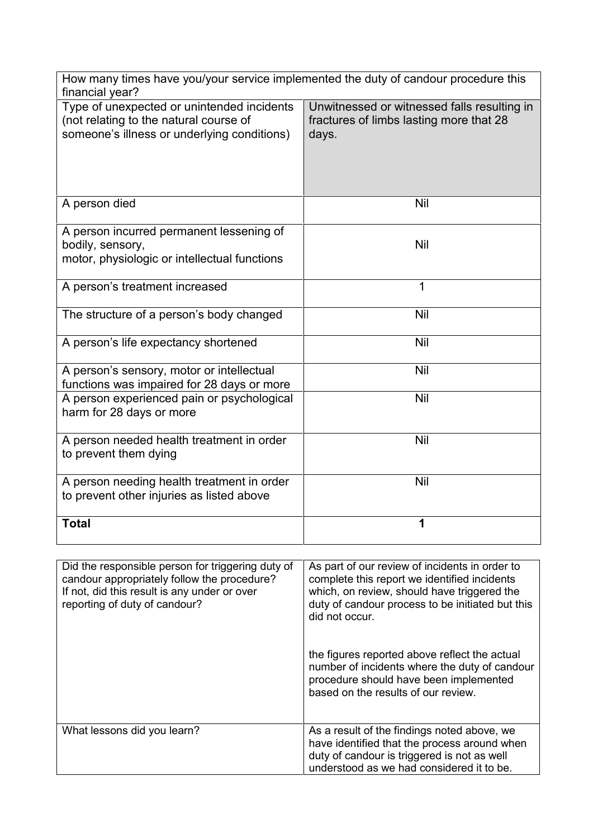| How many times have you/your service implemented the duty of candour procedure this<br>financial year?                              |                                                                                                 |
|-------------------------------------------------------------------------------------------------------------------------------------|-------------------------------------------------------------------------------------------------|
| Type of unexpected or unintended incidents<br>(not relating to the natural course of<br>someone's illness or underlying conditions) | Unwitnessed or witnessed falls resulting in<br>fractures of limbs lasting more that 28<br>days. |
| A person died                                                                                                                       | <b>Nil</b>                                                                                      |
| A person incurred permanent lessening of<br>bodily, sensory,<br>motor, physiologic or intellectual functions                        | <b>Nil</b>                                                                                      |
| A person's treatment increased                                                                                                      | 1                                                                                               |
| The structure of a person's body changed                                                                                            | Nil                                                                                             |
| A person's life expectancy shortened                                                                                                | Nil                                                                                             |
| A person's sensory, motor or intellectual<br>functions was impaired for 28 days or more                                             | Nil                                                                                             |
| A person experienced pain or psychological<br>harm for 28 days or more                                                              | <b>Nil</b>                                                                                      |
| A person needed health treatment in order<br>to prevent them dying                                                                  | Nil                                                                                             |
| A person needing health treatment in order<br>to prevent other injuries as listed above                                             | <b>Nil</b>                                                                                      |
| <b>Total</b>                                                                                                                        | 1                                                                                               |

| Did the responsible person for triggering duty of<br>candour appropriately follow the procedure?<br>If not, did this result is any under or over<br>reporting of duty of candour? | As part of our review of incidents in order to<br>complete this report we identified incidents<br>which, on review, should have triggered the<br>duty of candour process to be initiated but this<br>did not occur. |
|-----------------------------------------------------------------------------------------------------------------------------------------------------------------------------------|---------------------------------------------------------------------------------------------------------------------------------------------------------------------------------------------------------------------|
|                                                                                                                                                                                   | the figures reported above reflect the actual<br>number of incidents where the duty of candour<br>procedure should have been implemented<br>based on the results of our review.                                     |
| What lessons did you learn?                                                                                                                                                       | As a result of the findings noted above, we<br>have identified that the process around when<br>duty of candour is triggered is not as well<br>understood as we had considered it to be.                             |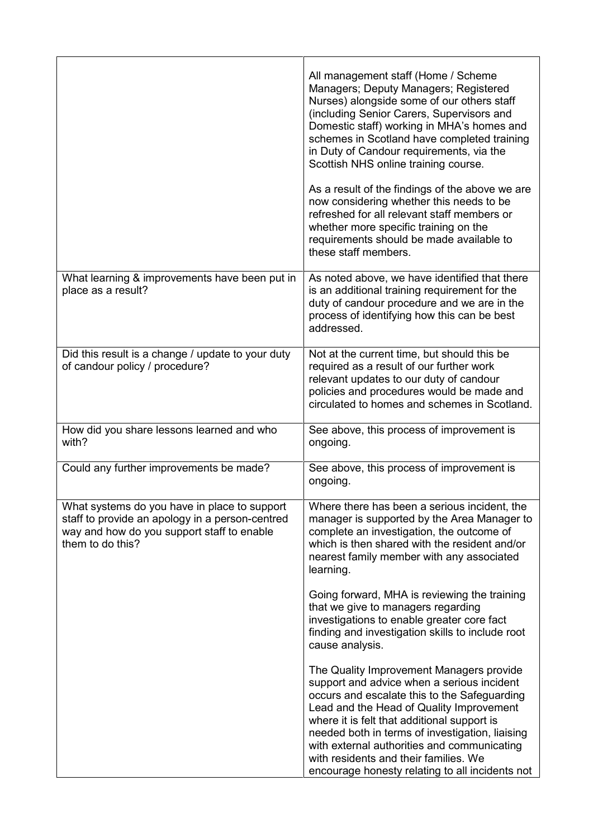|                                                                                                                                                                   | All management staff (Home / Scheme<br>Managers; Deputy Managers; Registered<br>Nurses) alongside some of our others staff<br>(including Senior Carers, Supervisors and<br>Domestic staff) working in MHA's homes and<br>schemes in Scotland have completed training<br>in Duty of Candour requirements, via the<br>Scottish NHS online training course.                                                                        |
|-------------------------------------------------------------------------------------------------------------------------------------------------------------------|---------------------------------------------------------------------------------------------------------------------------------------------------------------------------------------------------------------------------------------------------------------------------------------------------------------------------------------------------------------------------------------------------------------------------------|
|                                                                                                                                                                   | As a result of the findings of the above we are<br>now considering whether this needs to be<br>refreshed for all relevant staff members or<br>whether more specific training on the<br>requirements should be made available to<br>these staff members.                                                                                                                                                                         |
| What learning & improvements have been put in<br>place as a result?                                                                                               | As noted above, we have identified that there<br>is an additional training requirement for the<br>duty of candour procedure and we are in the<br>process of identifying how this can be best<br>addressed.                                                                                                                                                                                                                      |
| Did this result is a change / update to your duty<br>of candour policy / procedure?                                                                               | Not at the current time, but should this be<br>required as a result of our further work<br>relevant updates to our duty of candour<br>policies and procedures would be made and<br>circulated to homes and schemes in Scotland.                                                                                                                                                                                                 |
| How did you share lessons learned and who<br>with?                                                                                                                | See above, this process of improvement is<br>ongoing.                                                                                                                                                                                                                                                                                                                                                                           |
| Could any further improvements be made?                                                                                                                           | See above, this process of improvement is<br>ongoing.                                                                                                                                                                                                                                                                                                                                                                           |
| What systems do you have in place to support<br>staff to provide an apology in a person-centred<br>way and how do you support staff to enable<br>them to do this? | Where there has been a serious incident, the<br>manager is supported by the Area Manager to<br>complete an investigation, the outcome of<br>which is then shared with the resident and/or<br>nearest family member with any associated<br>learning.                                                                                                                                                                             |
|                                                                                                                                                                   | Going forward, MHA is reviewing the training<br>that we give to managers regarding<br>investigations to enable greater core fact<br>finding and investigation skills to include root<br>cause analysis.                                                                                                                                                                                                                         |
|                                                                                                                                                                   | The Quality Improvement Managers provide<br>support and advice when a serious incident<br>occurs and escalate this to the Safeguarding<br>Lead and the Head of Quality Improvement<br>where it is felt that additional support is<br>needed both in terms of investigation, liaising<br>with external authorities and communicating<br>with residents and their families. We<br>encourage honesty relating to all incidents not |